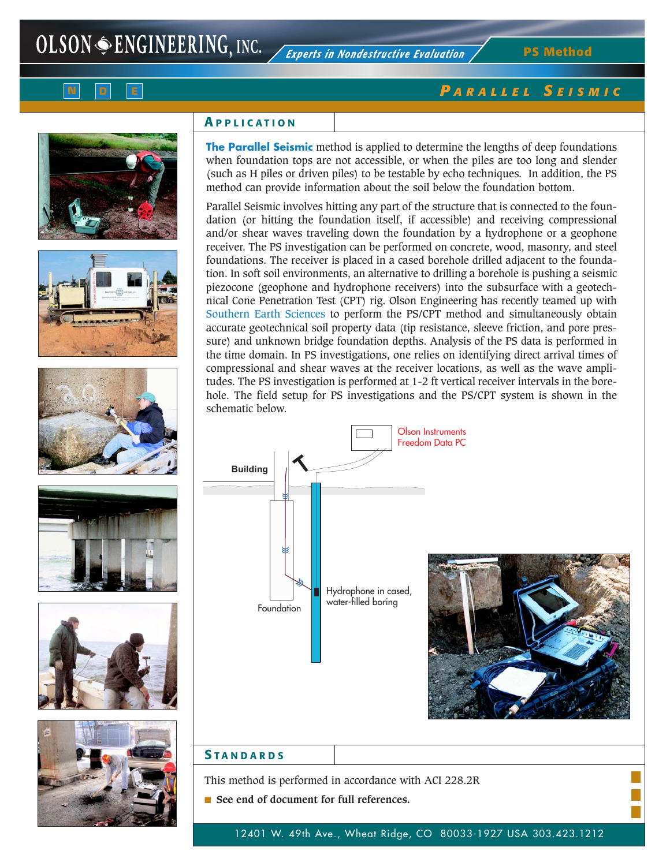**PS Method**















## **A PPLICATION**

**The Parallel Seismic** method is applied to determine the lengths of deep foundations when foundation tops are not accessible, or when the piles are too long and slender (such as H piles or driven piles) to be testable by echo techniques*.* In addition, the PS method can provide information about the soil below the foundation bottom.

Parallel Seismic involves hitting any part of the structure that is connected to the foundation (or hitting the foundation itself, if accessible) and receiving compressional and/or shear waves traveling down the foundation by a hydrophone or a geophone receiver. The PS investigation can be performed on concrete, wood, masonry, and steel foundations. The receiver is placed in a cased borehole drilled adjacent to the foundation. In soft soil environments, an alternative to drilling a borehole is pushing a seismic piezocone (geophone and hydrophone receivers) into the subsurface with a geotechnical Cone Penetration Test (CPT) rig. Olson Engineering has recently teamed up with Southern Earth Sciences to perform the PS/CPT method and simultaneously obtain accurate geotechnical soil property data (tip resistance, sleeve friction, and pore pressure) and unknown bridge foundation depths. Analysis of the PS data is performed in the time domain. In PS investigations, one relies on identifying direct arrival times of compressional and shear waves at the receiver locations, as well as the wave amplitudes. The PS investigation is performed at 1-2 ft vertical receiver intervals in the borehole. The field setup for PS investigations and the PS/CPT system is shown in the schematic below.



#### **S TANDARDS**

This method is performed in accordance with ACI 228.2R

■ See end of document for full references.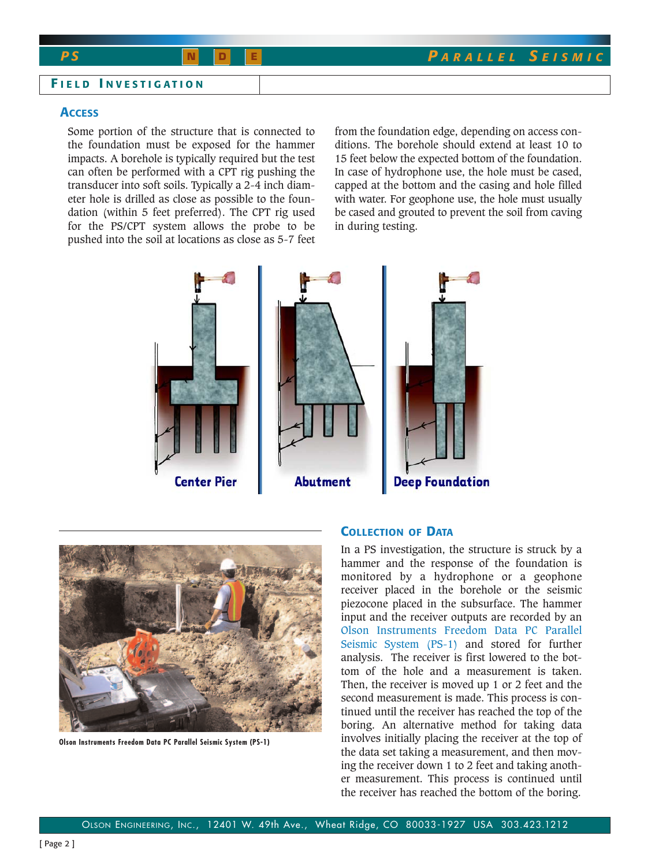#### **F IELD I NVESTIGATION**

#### **ACCESS**

Some portion of the structure that is connected to the foundation must be exposed for the hammer impacts. A borehole is typically required but the test can often be performed with a CPT rig pushing the transducer into soft soils. Typically a 2-4 inch diameter hole is drilled as close as possible to the foundation (within 5 feet preferred). The CPT rig used for the PS/CPT system allows the probe to be pushed into the soil at locations as close as 5-7 feet

from the foundation edge, depending on access conditions. The borehole should extend at least 10 to 15 feet below the expected bottom of the foundation. In case of hydrophone use, the hole must be cased, capped at the bottom and the casing and hole filled with water. For geophone use, the hole must usually be cased and grouted to prevent the soil from caving in during testing.





**Olson Instruments Freedom Data PC Parallel Seismic System (PS-1)**

### **COLLECTION OF DATA**

In a PS investigation, the structure is struck by a hammer and the response of the foundation is monitored by a hydrophone or a geophone receiver placed in the borehole or the seismic piezocone placed in the subsurface. The hammer input and the receiver outputs are recorded by an Olson Instruments Freedom Data PC Parallel Seismic System (PS-1) and stored for further analysis. The receiver is first lowered to the bottom of the hole and a measurement is taken. Then, the receiver is moved up 1 or 2 feet and the second measurement is made. This process is continued until the receiver has reached the top of the boring. An alternative method for taking data involves initially placing the receiver at the top of the data set taking a measurement, and then moving the receiver down 1 to 2 feet and taking another measurement. This process is continued until the receiver has reached the bottom of the boring.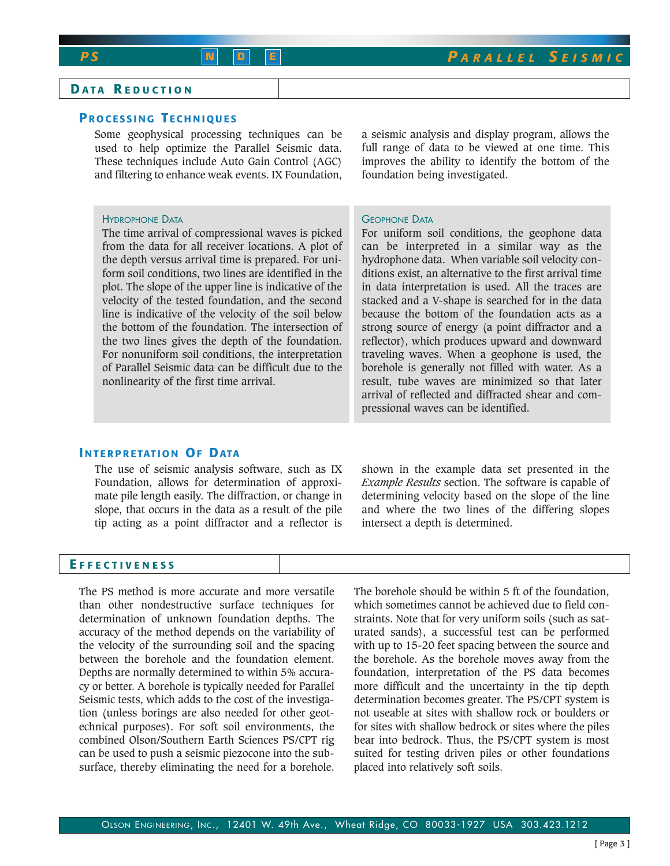# **D ATA R EDUCTION**

## **P ROCESSING T ECHNIQUES**

Some geophysical processing techniques can be used to help optimize the Parallel Seismic data. These techniques include Auto Gain Control (AGC) and filtering to enhance weak events. IX Foundation,

#### HYDROPHONE DATA

The time arrival of compressional waves is picked from the data for all receiver locations. A plot of the depth versus arrival time is prepared. For uniform soil conditions, two lines are identified in the plot. The slope of the upper line is indicative of the velocity of the tested foundation, and the second line is indicative of the velocity of the soil below the bottom of the foundation. The intersection of the two lines gives the depth of the foundation. For nonuniform soil conditions, the interpretation of Parallel Seismic data can be difficult due to the nonlinearity of the first time arrival.

a seismic analysis and display program, allows the full range of data to be viewed at one time. This improves the ability to identify the bottom of the foundation being investigated.

#### GEOPHONE DATA

For uniform soil conditions, the geophone data can be interpreted in a similar way as the hydrophone data. When variable soil velocity conditions exist, an alternative to the first arrival time in data interpretation is used. All the traces are stacked and a V-shape is searched for in the data because the bottom of the foundation acts as a strong source of energy (a point diffractor and a reflector), which produces upward and downward traveling waves. When a geophone is used, the borehole is generally not filled with water. As a result, tube waves are minimized so that later arrival of reflected and diffracted shear and compressional waves can be identified.

## **I NTERPRETATION OF DATA**

The use of seismic analysis software, such as IX Foundation, allows for determination of approximate pile length easily. The diffraction, or change in slope, that occurs in the data as a result of the pile tip acting as a point diffractor and a reflector is

shown in the example data set presented in the *Example Results* section. The software is capable of determining velocity based on the slope of the line and where the two lines of the differing slopes intersect a depth is determined.

#### **E FFECTIVENESS**

The PS method is more accurate and more versatile than other nondestructive surface techniques for determination of unknown foundation depths. The accuracy of the method depends on the variability of the velocity of the surrounding soil and the spacing between the borehole and the foundation element. Depths are normally determined to within 5% accuracy or better. A borehole is typically needed for Parallel Seismic tests, which adds to the cost of the investigation (unless borings are also needed for other geotechnical purposes). For soft soil environments, the combined Olson/Southern Earth Sciences PS/CPT rig can be used to push a seismic piezocone into the subsurface, thereby eliminating the need for a borehole.

The borehole should be within 5 ft of the foundation, which sometimes cannot be achieved due to field constraints. Note that for very uniform soils (such as saturated sands), a successful test can be performed with up to 15-20 feet spacing between the source and the borehole. As the borehole moves away from the foundation, interpretation of the PS data becomes more difficult and the uncertainty in the tip depth determination becomes greater. The PS/CPT system is not useable at sites with shallow rock or boulders or for sites with shallow bedrock or sites where the piles bear into bedrock. Thus, the PS/CPT system is most suited for testing driven piles or other foundations placed into relatively soft soils.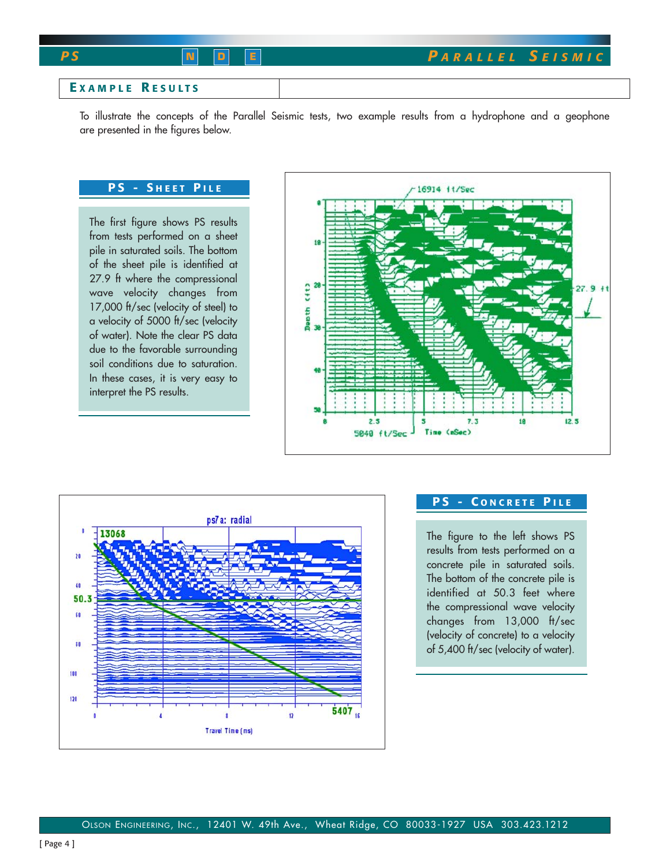## **E XAMPLE R ESULTS**

To illustrate the concepts of the Parallel Seismic tests, two example results from a hydrophone and a geophone are presented in the figures below.

## **PS - S HEET P ILE**

The first figure shows PS results from tests performed on a sheet pile in saturated soils. The bottom of the sheet pile is identified at 27.9 ft where the compressional wave velocity changes from 17,000 ft/sec (velocity of steel) to a velocity of 5000 ft/sec (velocity of water). Note the clear PS data due to the favorable surrounding soil conditions due to saturation. In these cases, it is very easy to interpret the PS results.





# **PS - C ONCRETE P ILE**

The figure to the left shows PS results from tests performed on a concrete pile in saturated soils. The bottom of the concrete pile is identified at 50.3 feet where the compressional wave velocity changes from 13,000 ft/sec (velocity of concrete) to a velocity of 5,400 ft/sec (velocity of water).

[ Page 4 ]